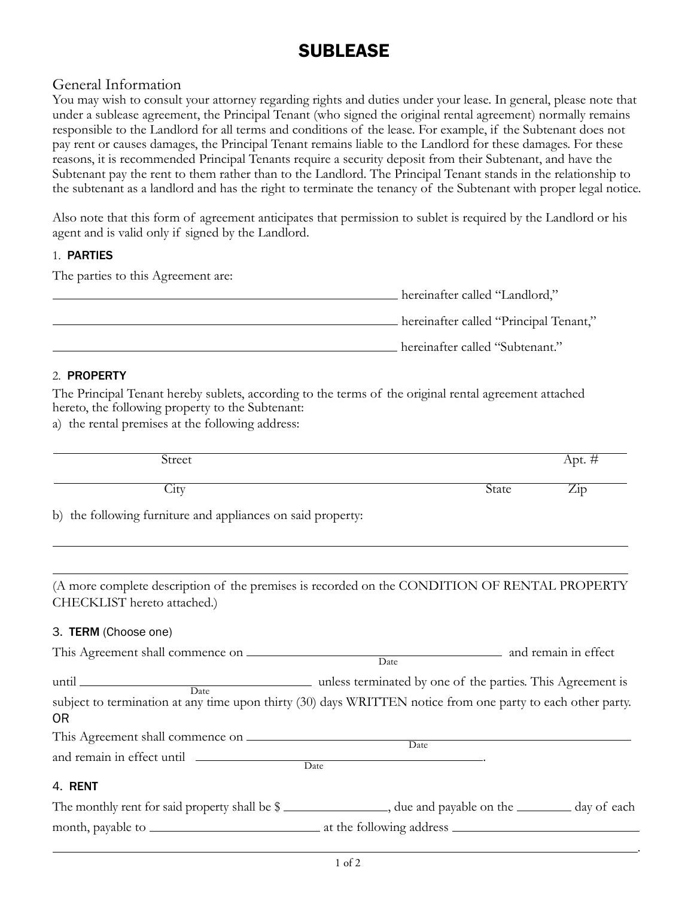# **SUBLEASE**

# General Information

You may wish to consult your attorney regarding rights and duties under your lease. In general, please note that under a sublease agreement, the Principal Tenant (who signed the original rental agreement) normally remains responsible to the Landlord for all terms and conditions of the lease. For example, if the Subtenant does not pay rent or causes damages, the Principal Tenant remains liable to the Landlord for these damages. For these reasons, it is recommended Principal Tenants require a security deposit from their Subtenant, and have the Subtenant pay the rent to them rather than to the Landlord. The Principal Tenant stands in the relationship to the subtenant as a landlord and has the right to terminate the tenancy of the Subtenant with proper legal notice.

Also note that this form of agreement anticipates that permission to sublet is required by the Landlord or his agent and is valid only if signed by the Landlord.

## 1. Parties

The parties to this Agreement are:

| hereinafter called "Landlord,"         |
|----------------------------------------|
| hereinafter called "Principal Tenant," |
| hereinafter called "Subtenant."        |

### 2. Property

The Principal Tenant hereby sublets, according to the terms of the original rental agreement attached hereto, the following property to the Subtenant:

a) the rental premises at the following address:

| Street                                                                                                                        |       | $Apt.$ #                  |
|-------------------------------------------------------------------------------------------------------------------------------|-------|---------------------------|
| City                                                                                                                          | State | $\overline{\mathrm{Zip}}$ |
| b) the following furniture and appliances on said property:                                                                   |       |                           |
| (A more complete description of the premises is recorded on the CONDITION OF RENTAL PROPERTY<br>CHECKLIST hereto attached.)   |       |                           |
| 3. TERM (Choose one)                                                                                                          |       |                           |
|                                                                                                                               |       |                           |
| subject to termination at any time upon thirty (30) days WRITTEN notice from one party to each other party.<br>0 <sub>R</sub> |       |                           |
| and remain in effect until Date                                                                                               |       |                           |
| 4. RENT                                                                                                                       |       |                           |
| The monthly rent for said property shall be \$ __________________, due and payable on the _________ day of each               |       |                           |
|                                                                                                                               |       |                           |

.